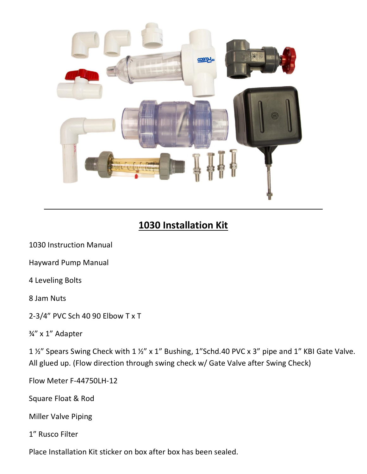

## **1030 Installation Kit**

1030 Instruction Manual

Hayward Pump Manual

4 Leveling Bolts

8 Jam Nuts

2-3/4" PVC Sch 40 90 Elbow T x T

¾" x 1" Adapter

1 %" Spears Swing Check with 1 %" x 1" Bushing, 1"Schd.40 PVC x 3" pipe and 1" KBI Gate Valve. All glued up. (Flow direction through swing check w/ Gate Valve after Swing Check)

Flow Meter F-44750LH-12

Square Float & Rod

Miller Valve Piping

1" Rusco Filter

Place Installation Kit sticker on box after box has been sealed.